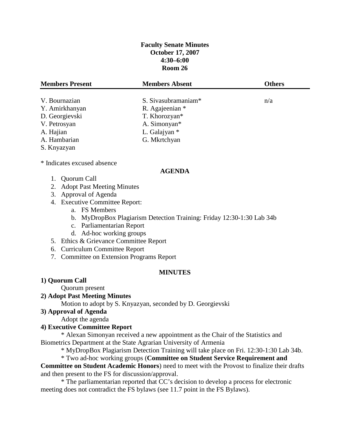## **Faculty Senate Minutes October 17, 2007 4:30–6:00 Room 26**

| <b>Members Present</b>        | <b>Members Absent</b>           | <b>Others</b> |
|-------------------------------|---------------------------------|---------------|
|                               |                                 |               |
| V. Bournazian                 | S. Sivasubramaniam <sup>*</sup> | n/a           |
| Y. Amirkhanyan                | R. Agajeenian *                 |               |
| D. Georgievski                | T. Khorozyan*                   |               |
| V. Petrosyan                  | A. Simonyan*                    |               |
| A. Hajian                     | L. Galajyan *                   |               |
| A. Hambarian                  | G. Mkrtchyan                    |               |
| S. Knyazyan                   |                                 |               |
| * Indicates excused absence   |                                 |               |
|                               | <b>AGENDA</b>                   |               |
| Quorum Call                   |                                 |               |
| 2. Adopt Past Meeting Minutes |                                 |               |

- 3. Approval of Agenda
- 4. Executive Committee Report:
	- a. FS Members
	- b. MyDropBox Plagiarism Detection Training: Friday 12:30-1:30 Lab 34b
	- c. Parliamentarian Report
	- d. Ad-hoc working groups
- 5. Ethics & Grievance Committee Report
- 6. Curriculum Committee Report
- 7. Committee on Extension Programs Report

#### **MINUTES**

#### **1) Quorum Call**

Quorum present

## **2) Adopt Past Meeting Minutes**

Motion to adopt by S. Knyazyan, seconded by D. Georgievski

#### **3) Approval of Agenda**

Adopt the agenda

### **4) Executive Committee Report**

\* Alexan Simonyan received a new appointment as the Chair of the Statistics and Biometrics Department at the State Agrarian University of Armenia

\* MyDropBox Plagiarism Detection Training will take place on Fri. 12:30-1:30 Lab 34b.

\* Two ad-hoc working groups (**Committee on Student Service Requirement and** 

**Committee on Student Academic Honors**) need to meet with the Provost to finalize their drafts and then present to the FS for discussion/approval.

\* The parliamentarian reported that CC's decision to develop a process for electronic meeting does not contradict the FS bylaws (see 11.7 point in the FS Bylaws).